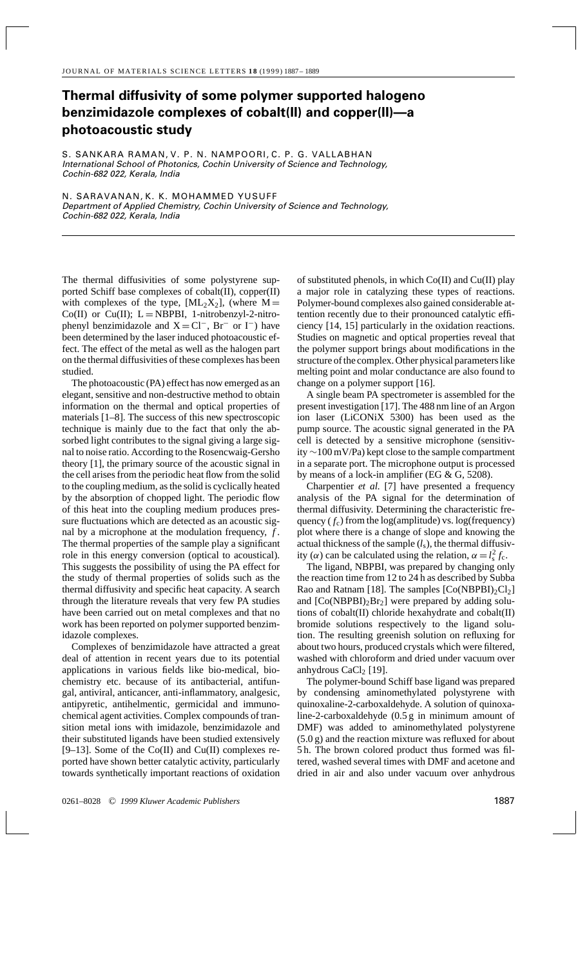## **Thermal diffusivity of some polymer supported halogeno benzimidazole complexes of cobalt(II) and copper(II)—a photoacoustic study**

S. SANKARA RAMAN, V. P. N. NAMPOORI, C. P. G. VALLABHAN International School of Photonics, Cochin University of Science and Technology, Cochin-682 022, Kerala, India

N. SARAVANAN, K. K. MOHAMMED YUSUFF Department of Applied Chemistry, Cochin University of Science and Technology, Cochin-682 022, Kerala, India

The thermal diffusivities of some polystyrene supported Schiff base complexes of cobalt(II), copper(II) with complexes of the type,  $[ML_2X_2]$ , (where  $M =$ Co(II) or Cu(II);  $L = NBPBI$ , 1-nitrobenzyl-2-nitrophenyl benzimidazole and  $X = Cl^-$ , Br<sup>−</sup> or I<sup>−</sup>) have been determined by the laser induced photoacoustic effect. The effect of the metal as well as the halogen part on the thermal diffusivities of these complexes has been studied.

The photoacoustic (PA) effect has now emerged as an elegant, sensitive and non-destructive method to obtain information on the thermal and optical properties of materials [1–8]. The success of this new spectroscopic technique is mainly due to the fact that only the absorbed light contributes to the signal giving a large signal to noise ratio. According to the Rosencwaig-Gersho theory [1], the primary source of the acoustic signal in the cell arises from the periodic heat flow from the solid to the coupling medium, as the solid is cyclically heated by the absorption of chopped light. The periodic flow of this heat into the coupling medium produces pressure fluctuations which are detected as an acoustic signal by a microphone at the modulation frequency, *f* . The thermal properties of the sample play a significant role in this energy conversion (optical to acoustical). This suggests the possibility of using the PA effect for the study of thermal properties of solids such as the thermal diffusivity and specific heat capacity. A search through the literature reveals that very few PA studies have been carried out on metal complexes and that no work has been reported on polymer supported benzimidazole complexes.

Complexes of benzimidazole have attracted a great deal of attention in recent years due to its potential applications in various fields like bio-medical, biochemistry etc. because of its antibacterial, antifungal, antiviral, anticancer, anti-inflammatory, analgesic, antipyretic, antihelmentic, germicidal and immunochemical agent activities. Complex compounds of transition metal ions with imidazole, benzimidazole and their substituted ligands have been studied extensively  $[9-13]$ . Some of the Co(II) and Cu(II) complexes reported have shown better catalytic activity, particularly towards synthetically important reactions of oxidation

of substituted phenols, in which Co(II) and Cu(II) play a major role in catalyzing these types of reactions. Polymer-bound complexes also gained considerable attention recently due to their pronounced catalytic efficiency [14, 15] particularly in the oxidation reactions. Studies on magnetic and optical properties reveal that the polymer support brings about modifications in the structure of the complex. Other physical parameters like melting point and molar conductance are also found to change on a polymer support [16].

A single beam PA spectrometer is assembled for the present investigation [17]. The 488 nm line of an Argon ion laser (LiCONiX 5300) has been used as the pump source. The acoustic signal generated in the PA cell is detected by a sensitive microphone (sensitivity ∼100 mV/Pa) kept close to the sample compartment in a separate port. The microphone output is processed by means of a lock-in amplifier (EG & G, 5208).

Charpentier *et al.* [7] have presented a frequency analysis of the PA signal for the determination of thermal diffusivity. Determining the characteristic frequency  $(f_c)$  from the log(amplitude) vs. log(frequency) plot where there is a change of slope and knowing the actual thickness of the sample  $(l_s)$ , the thermal diffusivity ( $\alpha$ ) can be calculated using the relation,  $\alpha = l_s^2 f_c$ .

The ligand, NBPBI, was prepared by changing only the reaction time from 12 to 24 h as described by Subba Rao and Ratnam [18]. The samples  $[Co(NBPBI)<sub>2</sub>Cl<sub>2</sub>]$ and  $[Co(NBPBI)_2Br_2]$  were prepared by adding solutions of cobalt(II) chloride hexahydrate and cobalt(II) bromide solutions respectively to the ligand solution. The resulting greenish solution on refluxing for about two hours, produced crystals which were filtered, washed with chloroform and dried under vacuum over anhydrous  $CaCl<sub>2</sub>$  [19].

The polymer-bound Schiff base ligand was prepared by condensing aminomethylated polystyrene with quinoxaline-2-carboxaldehyde. A solution of quinoxaline-2-carboxaldehyde (0.5 g in minimum amount of DMF) was added to aminomethylated polystyrene (5.0 g) and the reaction mixture was refluxed for about 5 h. The brown colored product thus formed was filtered, washed several times with DMF and acetone and dried in air and also under vacuum over anhydrous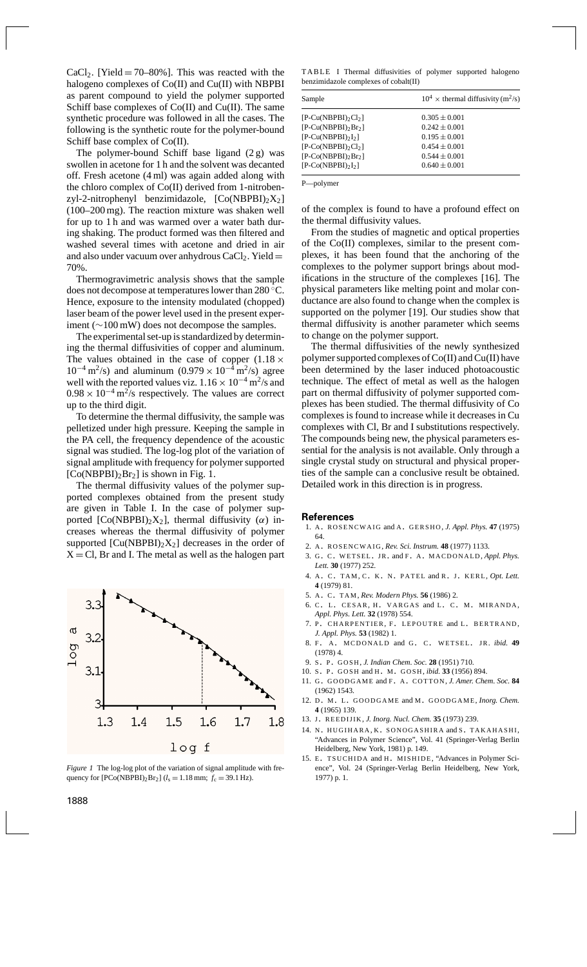$CaCl<sub>2</sub>$ . [Yield = 70–80%]. This was reacted with the halogeno complexes of Co(II) and Cu(II) with NBPBI as parent compound to yield the polymer supported Schiff base complexes of  $Co(II)$  and  $Cu(II)$ . The same synthetic procedure was followed in all the cases. The following is the synthetic route for the polymer-bound Schiff base complex of Co(II).

The polymer-bound Schiff base ligand (2 g) was swollen in acetone for 1 h and the solvent was decanted off. Fresh acetone (4 ml) was again added along with the chloro complex of Co(II) derived from 1-nitrobenzyl-2-nitrophenyl benzimidazole,  $[Co(NBPBI)_2X_2]$ (100–200 mg). The reaction mixture was shaken well for up to 1 h and was warmed over a water bath during shaking. The product formed was then filtered and washed several times with acetone and dried in air and also under vacuum over anhydrous  $CaCl<sub>2</sub>$ . Yield  $=$ 70%.

Thermogravimetric analysis shows that the sample does not decompose at temperatures lower than 280 ◦C. Hence, exposure to the intensity modulated (chopped) laser beam of the power level used in the present experiment (∼100 mW) does not decompose the samples.

The experimental set-up is standardized by determining the thermal diffusivities of copper and aluminum. The values obtained in the case of copper  $(1.18 \times$  $10^{-4}$  m<sup>2</sup>/s) and aluminum  $(0.979 \times 10^{-4}$  m<sup>2</sup>/s) agree well with the reported values viz.  $1.16 \times 10^{-4}$  m<sup>2</sup>/s and  $0.98 \times 10^{-4}$  m<sup>2</sup>/s respectively. The values are correct up to the third digit.

To determine the thermal diffusivity, the sample was pelletized under high pressure. Keeping the sample in the PA cell, the frequency dependence of the acoustic signal was studied. The log-log plot of the variation of signal amplitude with frequency for polymer supported  $[Co(NBPBI)<sub>2</sub>Br<sub>2</sub>]$  is shown in Fig. 1.

The thermal diffusivity values of the polymer supported complexes obtained from the present study are given in Table I. In the case of polymer supported  $[Co(NBPBI)_2X_2]$ , thermal diffusivity ( $\alpha$ ) increases whereas the thermal diffusivity of polymer supported  $[Cu(NBPBI)<sub>2</sub>X<sub>2</sub>]$  decreases in the order of  $X = Cl$ , Br and I. The metal as well as the halogen part



*Figure 1* The log-log plot of the variation of signal amplitude with frequency for  $[PCo(NBPBI)_2Br_2]$  ( $l_s = 1.18$  mm;  $f_c = 39.1$  Hz).

TABLE I Thermal diffusivities of polymer supported halogeno benzimidazole complexes of cobalt(II)

| Sample                    | $10^4 \times$ thermal diffusivity (m <sup>2</sup> /s) |
|---------------------------|-------------------------------------------------------|
| $[P-Cu(NBPBI)2Cl2]$       | $0.305 \pm 0.001$                                     |
| $[P-Cu(NBPBI)_{2}Br_{2}]$ | $0.242 \pm 0.001$                                     |
| $[P-Cu(NBPBI)2]$          | $0.195 \pm 0.001$                                     |
| $[P-Co(NBPBI)2Cl2]$       | $0.454 \pm 0.001$                                     |
| $[P-Co(NBPBI)_{2}Br_{2}]$ | $0.544 \pm 0.001$                                     |
| $[P-Co(NBPBI)2I2]$        | $0.640 \pm 0.001$                                     |

P—polymer

of the complex is found to have a profound effect on the thermal diffusivity values.

From the studies of magnetic and optical properties of the Co(II) complexes, similar to the present complexes, it has been found that the anchoring of the complexes to the polymer support brings about modifications in the structure of the complexes [16]. The physical parameters like melting point and molar conductance are also found to change when the complex is supported on the polymer [19]. Our studies show that thermal diffusivity is another parameter which seems to change on the polymer support.

The thermal diffusivities of the newly synthesized polymer supported complexes of Co(II) and Cu(II) have been determined by the laser induced photoacoustic technique. The effect of metal as well as the halogen part on thermal diffusivity of polymer supported complexes has been studied. The thermal diffusivity of Co complexes is found to increase while it decreases in Cu complexes with Cl, Br and I substitutions respectively. The compounds being new, the physical parameters essential for the analysis is not available. Only through a single crystal study on structural and physical properties of the sample can a conclusive result be obtained. Detailed work in this direction is in progress.

## **References**

- 1. A. ROSENCWAIG and A. GERSHO, *J. Appl. Phys.* **47** (1975) 64.
- 2. A. ROSENCWAIG, *Rev. Sci. Instrum.* **48** (1977) 1133.
- 3. G. C. WETSEL. JR. and F. A. MACDONALD, *Appl. Phys. Lett.* **30** (1977) 252.
- 4. A. C. TAM, C. K. N. PATEL and R. J. KERL, *Opt. Lett.* **4** (1979) 81.
- 5. A. C. TAM, *Rev. Modern Phys.* **56** (1986) 2.
- 6. C. L. CESAR, H. VARGAS and L. C. M. MIRANDA, *Appl. Phys. Lett.* **32** (1978) 554.
- 7. P. CHARPENTIER, F. LEPOUTRE and L. BERTRAND, *J. Appl. Phys.* **53** (1982) 1.
- 8. F. A. MCDONALD and G. C. WETSEL. JR. *ibid.* 49 (1978) 4.
- 9. <sup>S</sup> . <sup>P</sup> . GOSH, *J. Indian Chem. Soc.* **28** (1951) 710.
- 10. <sup>S</sup> . <sup>P</sup> . GOSH and H. M. GOSH, *ibid.* **33** (1956) 894.
- 11. G. GOODGAME and F. A. COTTON, *J. Amer. Chem. Soc.* 84 (1962) 1543.
- 12. D. M. L. GOODGAME and M. GOODGAME, *Inorg. Chem.* **4** (1965) 139.
- 13. J. REEDIJIK, *J. Inorg. Nucl. Chem.* **35** (1973) 239.
- 14. N. HUGIHARA, K. SONOGASHIRA and <sup>S</sup> . TAKAHASHI, "Advances in Polymer Science", Vol. 41 (Springer-Verlag Berlin Heidelberg, New York, 1981) p. 149.
- 15. E. TSUCHIDA and H. MISHIDE, "Advances in Polymer Science", Vol. 24 (Springer-Verlag Berlin Heidelberg, New York, 1977) p. 1.